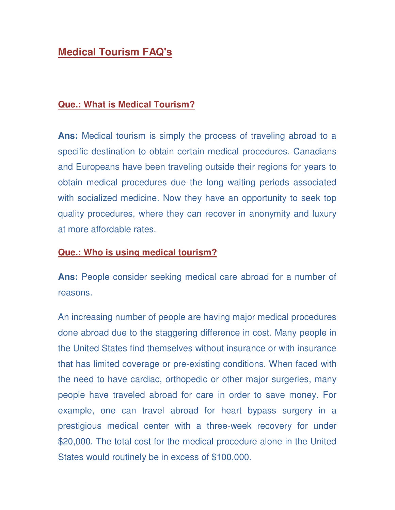### **Medical Tourism FAQ's**

#### **Que.: What is Medical Tourism?**

**Ans:** Medical tourism is simply the process of traveling abroad to a specific destination to obtain certain medical procedures. Canadians and Europeans have been traveling outside their regions for years to obtain medical procedures due the long waiting periods associated with socialized medicine. Now they have an opportunity to seek top quality procedures, where they can recover in anonymity and luxury at more affordable rates.

#### **Que.: Who is using medical tourism?**

**Ans:** People consider seeking medical care abroad for a number of reasons.

An increasing number of people are having major medical procedures done abroad due to the staggering difference in cost. Many people in the United States find themselves without insurance or with insurance that has limited coverage or pre-existing conditions. When faced with the need to have cardiac, orthopedic or other major surgeries, many people have traveled abroad for care in order to save money. For example, one can travel abroad for heart bypass surgery in a prestigious medical center with a three-week recovery for under \$20,000. The total cost for the medical procedure alone in the United States would routinely be in excess of \$100,000.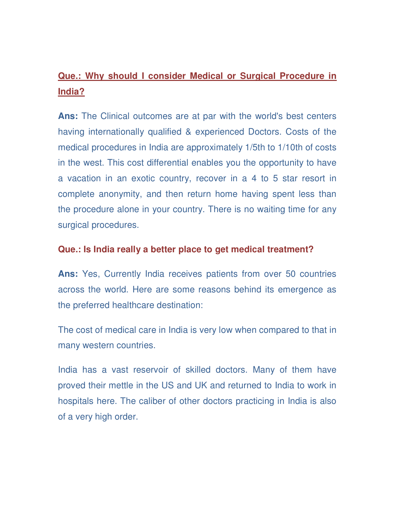# **Que.: Why should I consider Medical or Surgical Procedure in India?**

**Ans:** The Clinical outcomes are at par with the world's best centers having internationally qualified & experienced Doctors. Costs of the medical procedures in India are approximately 1/5th to 1/10th of costs in the west. This cost differential enables you the opportunity to have a vacation in an exotic country, recover in a 4 to 5 star resort in complete anonymity, and then return home having spent less than the procedure alone in your country. There is no waiting time for any surgical procedures.

#### **Que.: Is India really a better place to get medical treatment?**

**Ans:** Yes, Currently India receives patients from over 50 countries across the world. Here are some reasons behind its emergence as the preferred healthcare destination:

The cost of medical care in India is very low when compared to that in many western countries.

India has a vast reservoir of skilled doctors. Many of them have proved their mettle in the US and UK and returned to India to work in hospitals here. The caliber of other doctors practicing in India is also of a very high order.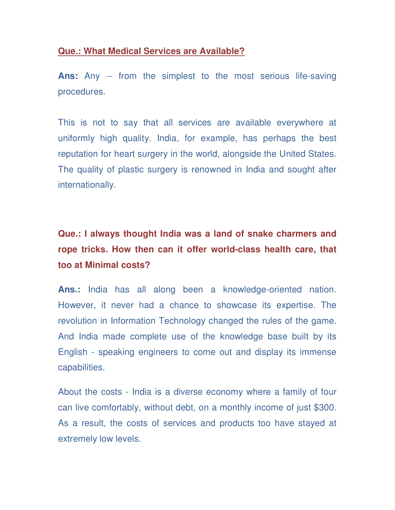#### **Que.: What Medical Services are Available?**

**Ans:** Any -- from the simplest to the most serious life-saving procedures.

This is not to say that all services are available everywhere at uniformly high quality. India, for example, has perhaps the best reputation for heart surgery in the world, alongside the United States. The quality of plastic surgery is renowned in India and sought after internationally.

# **Que.: I always thought India was a land of snake charmers and rope tricks. How then can it offer world-class health care, that too at Minimal costs?**

**Ans.:** India has all along been a knowledge-oriented nation. However, it never had a chance to showcase its expertise. The revolution in Information Technology changed the rules of the game. And India made complete use of the knowledge base built by its English - speaking engineers to come out and display its immense capabilities.

About the costs - India is a diverse economy where a family of four can live comfortably, without debt, on a monthly income of just \$300. As a result, the costs of services and products too have stayed at extremely low levels.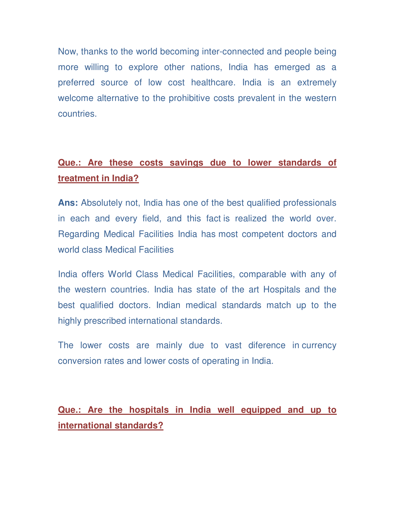Now, thanks to the world becoming inter-connected and people being more willing to explore other nations, India has emerged as a preferred source of low cost healthcare. India is an extremely welcome alternative to the prohibitive costs prevalent in the western countries.

### **Que.: Are these costs savings due to lower standards of treatment in India?**

**Ans:** Absolutely not, India has one of the best qualified professionals in each and every field, and this fact is realized the world over. Regarding Medical Facilities India has most competent doctors and world class Medical Facilities

India offers World Class Medical Facilities, comparable with any of the western countries. India has state of the art Hospitals and the best qualified doctors. Indian medical standards match up to the highly prescribed international standards.

The lower costs are mainly due to vast diference in currency conversion rates and lower costs of operating in India.

**Que.: Are the hospitals in India well equipped and up to international standards?**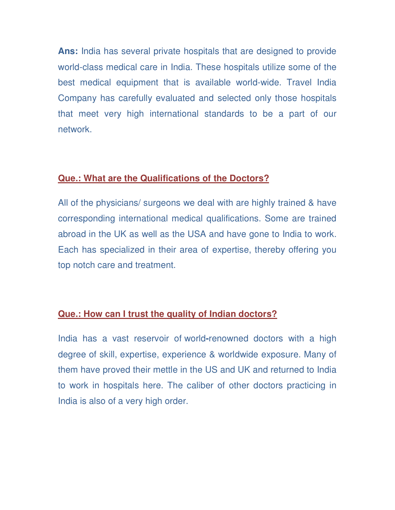**Ans:** India has several private hospitals that are designed to provide world-class medical care in India. These hospitals utilize some of the best medical equipment that is available world-wide. Travel India Company has carefully evaluated and selected only those hospitals that meet very high international standards to be a part of our network.

### **Que.: What are the Qualifications of the Doctors?**

All of the physicians/ surgeons we deal with are highly trained & have corresponding international medical qualifications. Some are trained abroad in the UK as well as the USA and have gone to India to work. Each has specialized in their area of expertise, thereby offering you top notch care and treatment.

### **Que.: How can I trust the quality of Indian doctors?**

India has a vast reservoir of world**-**renowned doctors with a high degree of skill, expertise, experience & worldwide exposure. Many of them have proved their mettle in the US and UK and returned to India to work in hospitals here. The caliber of other doctors practicing in India is also of a very high order.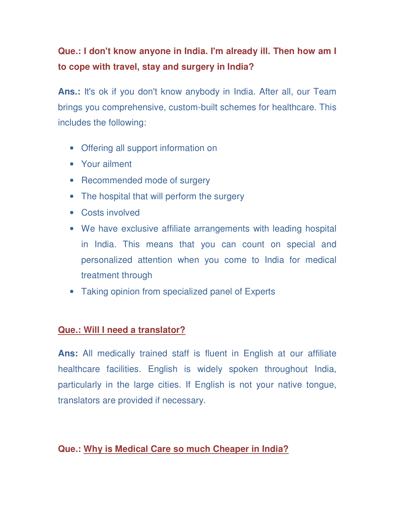# **Que.: I don't know anyone in India. I'm already ill. Then how am I to cope with travel, stay and surgery in India?**

**Ans.:** It's ok if you don't know anybody in India. After all, our Team brings you comprehensive, custom-built schemes for healthcare. This includes the following:

- Offering all support information on
- Your ailment
- Recommended mode of surgery
- The hospital that will perform the surgery
- Costs involved
- We have exclusive affiliate arrangements with leading hospital in India. This means that you can count on special and personalized attention when you come to India for medical treatment through
- Taking opinion from specialized panel of Experts

### **Que.: Will I need a translator?**

**Ans:** All medically trained staff is fluent in English at our affiliate healthcare facilities. English is widely spoken throughout India, particularly in the large cities. If English is not your native tongue, translators are provided if necessary.

### **Que.: Why is Medical Care so much Cheaper in India?**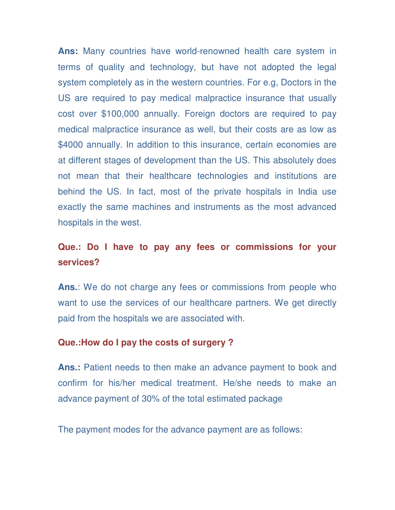**Ans:** Many countries have world-renowned health care system in terms of quality and technology, but have not adopted the legal system completely as in the western countries. For e.g, Doctors in the US are required to pay medical malpractice insurance that usually cost over \$100,000 annually. Foreign doctors are required to pay medical malpractice insurance as well, but their costs are as low as \$4000 annually. In addition to this insurance, certain economies are at different stages of development than the US. This absolutely does not mean that their healthcare technologies and institutions are behind the US. In fact, most of the private hospitals in India use exactly the same machines and instruments as the most advanced hospitals in the west.

### **Que.: Do I have to pay any fees or commissions for your services?**

**Ans.**: We do not charge any fees or commissions from people who want to use the services of our healthcare partners. We get directly paid from the hospitals we are associated with.

#### **Que.:How do I pay the costs of surgery ?**

**Ans.:** Patient needs to then make an advance payment to book and confirm for his/her medical treatment. He/she needs to make an advance payment of 30% of the total estimated package

The payment modes for the advance payment are as follows: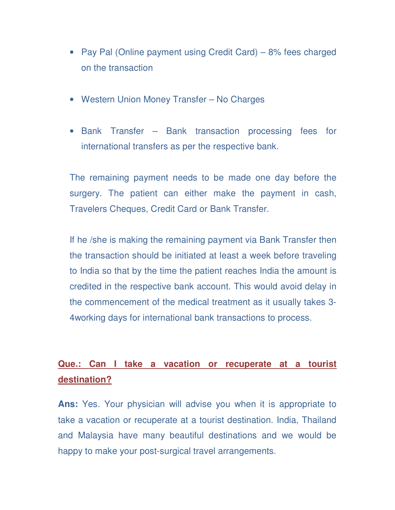- Pay Pal (Online payment using Credit Card) 8% fees charged on the transaction
- Western Union Money Transfer No Charges
- Bank Transfer Bank transaction processing fees for international transfers as per the respective bank.

The remaining payment needs to be made one day before the surgery. The patient can either make the payment in cash, Travelers Cheques, Credit Card or Bank Transfer.

If he /she is making the remaining payment via Bank Transfer then the transaction should be initiated at least a week before traveling to India so that by the time the patient reaches India the amount is credited in the respective bank account. This would avoid delay in the commencement of the medical treatment as it usually takes 3- 4working days for international bank transactions to process.

## **Que.: Can I take a vacation or recuperate at a tourist destination?**

**Ans:** Yes. Your physician will advise you when it is appropriate to take a vacation or recuperate at a tourist destination. India, Thailand and Malaysia have many beautiful destinations and we would be happy to make your post-surgical travel arrangements.